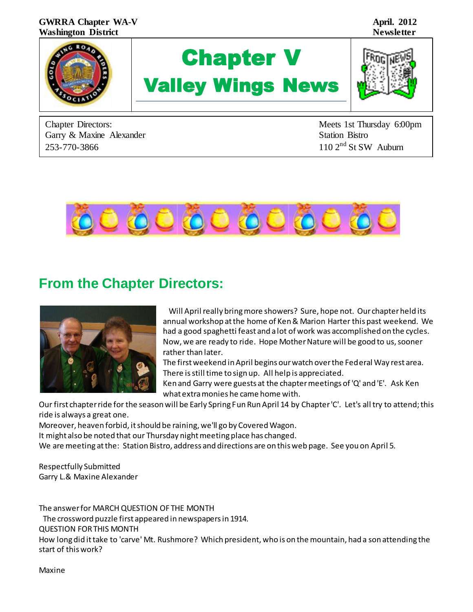

Chapter Directors: Meets 1st Thursday 6:00pm Garry & Maxine Alexander Station Bistro 253-770-3866 110 2<sup>nd</sup> St SW Auburn



# **From the Chapter Directors:**



Will April really bring more showers? Sure, hope not. Our chapter held its annual workshop at the home of Ken & Marion Harter this past weekend. We had a good spaghetti feast and a lot of work was accomplished on the cycles. Now, we are ready to ride. Hope Mother Nature will be good to us, sooner rather than later.

The first weekend in April begins our watch over the Federal Way rest area. There is still time to sign up. All help is appreciated.

Ken and Garry were guests at the chapter meetings of 'Q' and 'E'. Ask Ken what extra monies he came home with.

Our first chapter ride for the season will be Early Spring Fun Run April 14 by Chapter 'C'. Let's all try to attend; this ride is always a great one.

Moreover, heaven forbid, it should be raining, we'll go by Covered Wagon.

It might also be noted that our Thursday night meeting place has changed.

We are meeting at the: Station Bistro, address and directions are on this web page. See you on April 5.

Respectfully Submitted Garry L.& Maxine Alexander

The answer for MARCH QUESTION OF THE MONTH The crossword puzzle first appeared in newspapers in 1914. QUESTION FOR THIS MONTH How long did it take to 'carve' Mt. Rushmore? Which president, who is on the mountain, had a son attending the start of this work?

Maxine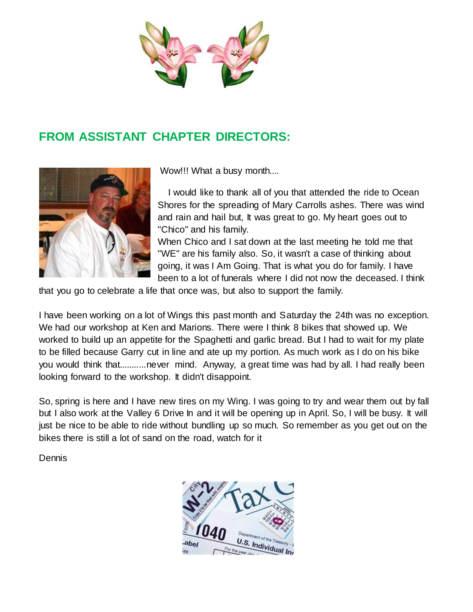

# **FROM ASSISTANT CHAPTER DIRECTORS:**



Wow!!! What a busy month....

 I would like to thank all of you that attended the ride to Ocean Shores for the spreading of Mary Carrolls ashes. There was wind and rain and hail but, It was great to go. My heart goes out to "Chico" and his family.

When Chico and I sat down at the last meeting he told me that "WE" are his family also. So, it wasn't a case of thinking about going, it was I Am Going. That is what you do for family. I have been to a lot of funerals where I did not now the deceased. I think

that you go to celebrate a life that once was, but also to support the family.

I have been working on a lot of Wings this past month and Saturday the 24th was no exception. We had our workshop at Ken and Marions. There were I think 8 bikes that showed up. We worked to build up an appetite for the Spaghetti and garlic bread. But I had to wait for my plate to be filled because Garry cut in line and ate up my portion. As much work as I do on his bike you would think that...........never mind. Anyway, a great time was had by all. I had really been looking forward to the workshop. It didn't disappoint.

So, spring is here and I have new tires on my Wing. I was going to try and wear them out by fall but I also work at the Valley 6 Drive In and it will be opening up in April. So, I will be busy. It will just be nice to be able to ride without bundling up so much. So remember as you get out on the bikes there is still a lot of sand on the road, watch for it

Dennis

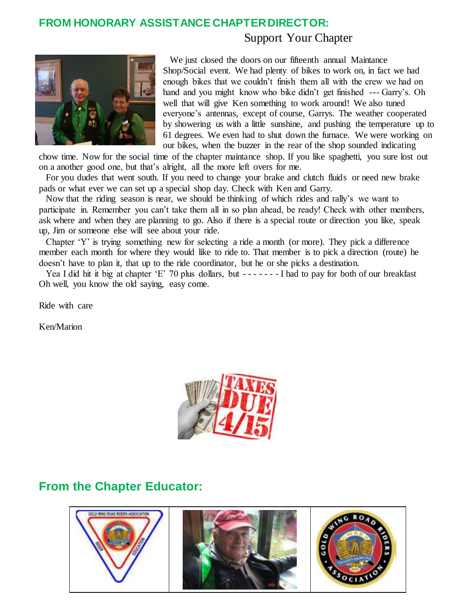#### **FROM HONORARY ASSISTANCE CHAPTER DIRECTOR:**

#### Support Your Chapter



 We just closed the doors on our fifteenth annual Maintance Shop/Social event. We had plenty of bikes to work on, in fact we had enough bikes that we couldn't finish them all with the crew we had on hand and you might know who bike didn't get finished --- Garry's. Oh well that will give Ken something to work around! We also tuned everyone's antennas, except of course, Garrys. The weather cooperated by showering us with a little sunshine, and pushing the temperature up to 61 degrees. We even had to shut down the furnace. We were working on our bikes, when the buzzer in the rear of the shop sounded indicating

chow time. Now for the social time of the chapter maintance shop. If you like spaghetti, you sure lost out on a another good one, but that's alright, all the more left overs for me.

 For you dudes that went south. If you need to change your brake and clutch fluids or need new brake pads or what ever we can set up a special shop day. Check with Ken and Garry.

 Now that the riding season is near, we should be thinking of which rides and rally's we want to participate in. Remember you can't take them all in so plan ahead, be ready! Check with other members, ask where and when they are planning to go. Also if there is a special route or direction you like, speak up, Jim or someone else will see about your ride.

 Chapter 'Y' is trying something new for selecting a ride a month (or more). They pick a difference member each month for where they would like to ride to. That member is to pick a direction (route) he doesn't have to plan it, that up to the ride coordinator, but he or she picks a destination.

Yea I did hit it big at chapter 'E' 70 plus dollars, but -------I had to pay for both of our breakfast Oh well, you know the old saying, easy come.

Ride with care

Ken/Marion



### **From the Chapter Educator:**

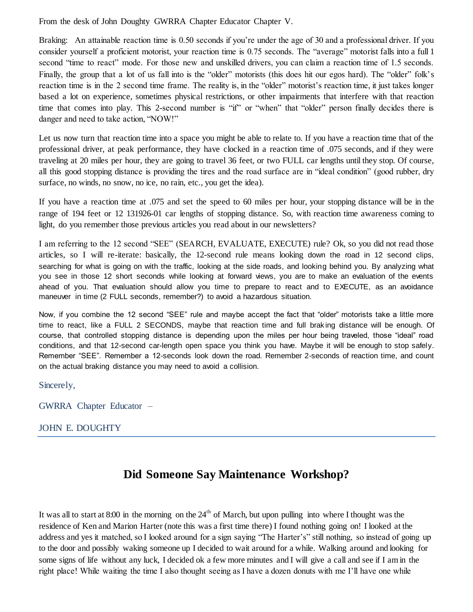From the desk of John Doughty GWRRA Chapter Educator Chapter V.

Braking: An attainable reaction time is 0.50 seconds if you're under the age of 30 and a professional driver. If you consider yourself a proficient motorist, your reaction time is 0.75 seconds. The "average" motorist falls into a full 1 second "time to react" mode. For those new and unskilled drivers, you can claim a reaction time of 1.5 seconds. Finally, the group that a lot of us fall into is the "older" motorists (this does hit our egos hard). The "older" folk's reaction time is in the 2 second time frame. The reality is, in the "older" motorist's reaction time, it just takes longer based a lot on experience, sometimes physical restrictions, or other impairments that interfere with that reaction time that comes into play. This 2-second number is "if" or "when" that "older" person finally decides there is danger and need to take action, "NOW!"

Let us now turn that reaction time into a space you might be able to relate to. If you have a reaction time that of the professional driver, at peak performance, they have clocked in a reaction time of .075 seconds, and if they were traveling at 20 miles per hour, they are going to travel 36 feet, or two FULL car lengths until they stop. Of course, all this good stopping distance is providing the tires and the road surface are in "ideal condition" (good rubber, dry surface, no winds, no snow, no ice, no rain, etc., you get the idea).

If you have a reaction time at .075 and set the speed to 60 miles per hour, your stopping distance will be in the range of 194 feet or 12 131926-01 car lengths of stopping distance. So, with reaction time awareness coming to light, do you remember those previous articles you read about in our newsletters?

I am referring to the 12 second "SEE" (SEARCH, EVALUATE, EXECUTE) rule? Ok, so you did not read those articles, so I will re-iterate: basically, the 12-second rule means looking down the road in 12 second clips, searching for what is going on with the traffic, looking at the side roads, and looking behind you. By analyzing what you see in those 12 short seconds while looking at forward views, you are to make an evaluation of the events ahead of you. That evaluation should allow you time to prepare to react and to EXECUTE, as an avoidance maneuver in time (2 FULL seconds, remember?) to avoid a hazardous situation.

Now, if you combine the 12 second "SEE" rule and maybe accept the fact that "older" motorists take a little more time to react, like a FULL 2 SECONDS, maybe that reaction time and full brak ing distance will be enough. Of course, that controlled stopping distance is depending upon the miles per hour being traveled, those "ideal" road conditions, and that 12-second car-length open space you think you have. Maybe it will be enough to stop safely. Remember "SEE". Remember a 12-seconds look down the road. Remember 2-seconds of reaction time, and count on the actual braking distance you may need to avoid a collision.

Sincerely,

GWRRA Chapter Educator –

#### JOHN E. DOUGHTY

### **Did Someone Say Maintenance Workshop?**

It was all to start at 8:00 in the morning on the  $24<sup>th</sup>$  of March, but upon pulling into where I thought was the residence of Ken and Marion Harter (note this was a first time there) I found nothing going on! I looked at the address and yes it matched, so I looked around for a sign saying "The Harter's" still nothing, so instead of going up to the door and possibly waking someone up I decided to wait around for a while. Walking around and looking for some signs of life without any luck, I decided ok a few more minutes and I will give a call and see if I am in the right place! While waiting the time I also thought seeing as I have a dozen donuts with me I'll have one while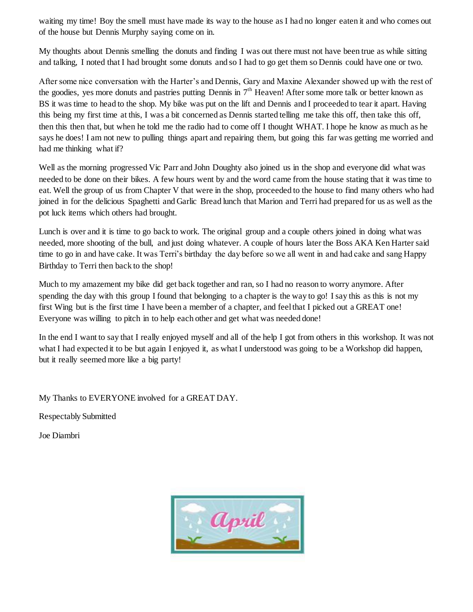waiting my time! Boy the smell must have made its way to the house as I had no longer eaten it and who comes out of the house but Dennis Murphy saying come on in.

My thoughts about Dennis smelling the donuts and finding I was out there must not have been true as while sitting and talking, I noted that I had brought some donuts and so I had to go get them so Dennis could have one or two.

After some nice conversation with the Harter's and Dennis, Gary and Maxine Alexander showed up with the rest of the goodies, yes more donuts and pastries putting Dennis in 7<sup>th</sup> Heaven! After some more talk or better known as BS it was time to head to the shop. My bike was put on the lift and Dennis and I proceeded to tear it apart. Having this being my first time at this, I was a bit concerned as Dennis started telling me take this off, then take this off, then this then that, but when he told me the radio had to come off I thought WHAT. I hope he know as much as he says he does! I am not new to pulling things apart and repairing them, but going this far was getting me worried and had me thinking what if?

Well as the morning progressed Vic Parr and John Doughty also joined us in the shop and everyone did what was needed to be done on their bikes. A few hours went by and the word came from the house stating that it was time to eat. Well the group of us from Chapter V that were in the shop, proceeded to the house to find many others who had joined in for the delicious Spaghetti and Garlic Bread lunch that Marion and Terri had prepared for us as well as the pot luck items which others had brought.

Lunch is over and it is time to go back to work. The original group and a couple others joined in doing what was needed, more shooting of the bull, and just doing whatever. A couple of hours later the Boss AKA Ken Harter said time to go in and have cake. It was Terri's birthday the day before so we all went in and had cake and sang Happy Birthday to Terri then back to the shop!

Much to my amazement my bike did get back together and ran, so I had no reason to worry anymore. After spending the day with this group I found that belonging to a chapter is the way to go! I say this as this is not my first Wing but is the first time I have been a member of a chapter, and feel that I picked out a GREAT one! Everyone was willing to pitch in to help each other and get what was needed done!

In the end I want to say that I really enjoyed myself and all of the help I got from others in this workshop. It was not what I had expected it to be but again I enjoyed it, as what I understood was going to be a Workshop did happen, but it really seemed more like a big party!

My Thanks to EVERYONE involved for a GREAT DAY.

Respectably Submitted

Joe Diambri

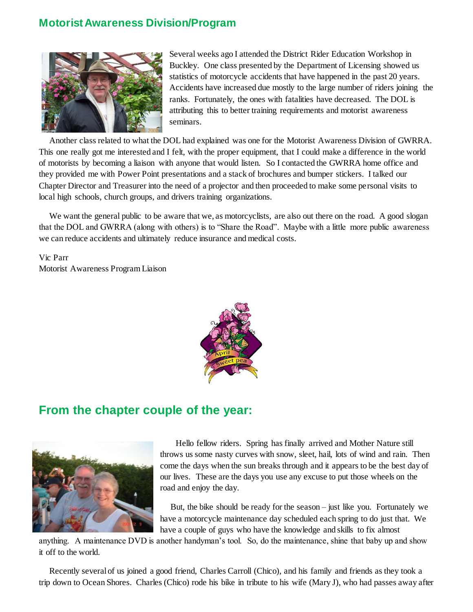#### **Motorist Awareness Division/Program**



Several weeks ago I attended the District Rider Education Workshop in Buckley. One class presented by the Department of Licensing showed us statistics of motorcycle accidents that have happened in the past 20 years. Accidents have increased due mostly to the large number of riders joining the ranks. Fortunately, the ones with fatalities have decreased. The DOL is attributing this to better training requirements and motorist awareness seminars.

Another class related to what the DOL had explained was one for the Motorist Awareness Division of GWRRA. This one really got me interested and I felt, with the proper equipment, that I could make a difference in the world of motorists by becoming a liaison with anyone that would listen. So I contacted the GWRRA home office and they provided me with Power Point presentations and a stack of brochures and bumper stickers. I talked our Chapter Director and Treasurer into the need of a projector and then proceeded to make some personal visits to local high schools, church groups, and drivers training organizations.

We want the general public to be aware that we, as motorcyclists, are also out there on the road. A good slogan that the DOL and GWRRA (along with others) is to "Share the Road". Maybe with a little more public awareness we can reduce accidents and ultimately reduce insurance and medical costs.

Vic Parr Motorist Awareness Program Liaison



## **From the chapter couple of the year:**



 Hello fellow riders. Spring has finally arrived and Mother Nature still throws us some nasty curves with snow, sleet, hail, lots of wind and rain. Then come the days when the sun breaks through and it appears to be the best day of our lives. These are the days you use any excuse to put those wheels on the road and enjoy the day.

But, the bike should be ready for the season – just like you. Fortunately we have a motorcycle maintenance day scheduled each spring to do just that. We have a couple of guys who have the knowledge and skills to fix almost

anything. A maintenance DVD is another handyman's tool. So, do the maintenance, shine that baby up and show it off to the world.

Recently several of us joined a good friend, Charles Carroll (Chico), and his family and friends as they took a trip down to Ocean Shores. Charles (Chico) rode his bike in tribute to his wife (Mary J), who had passes away after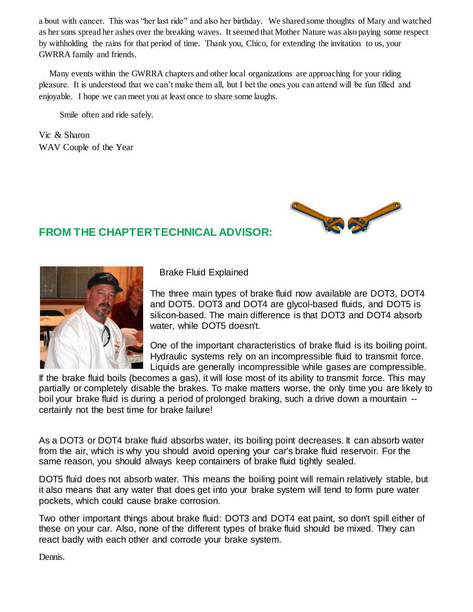a bout with cancer. This was "her last ride" and also her birthday. We shared some thoughts of Mary and watched as her sons spread her ashes over the breaking waves. It seemed that Mother Nature was also paying some respect by withholding the rains for that period of time. Thank you, Chico, for extending the invitation to us, your GWRRA family and friends.

Many events within the GWRRA chapters and other local organizations are approaching for your riding pleasure. It is understood that we can't make them all, but I bet the ones you can attend will be fun filled and enjoyable. I hope we can meet you at least once to share some laughs.

Smile often and ride safely.

Vic & Sharon WAV Couple of the Year



### **FROM THE CHAPTER TECHNICAL ADVISOR:**



Brake Fluid Explained

The three main types of brake fluid now available are DOT3, DOT4 and DOT5. DOT3 and DOT4 are glycol-based fluids, and DOT5 is silicon-based. The main difference is that DOT3 and DOT4 absorb water, while DOT5 doesn't.

One of the important characteristics of brake fluid is its boiling point. Hydraulic systems rely on an incompressible fluid to transmit force. Liquids are generally incompressible while gases are compressible.

If the brake fluid boils (becomes a gas), it will lose most of its ability to transmit force. This may partially or completely disable the brakes. To make matters worse, the only time you are likely to boil your brake fluid is during a period of prolonged braking, such a drive down a mountain - certainly not the best time for brake failure!

As a DOT3 or DOT4 brake fluid absorbs water, its boiling point decreases. It can absorb water from the air, which is why you should avoid opening your car's brake fluid reservoir. For the same reason, you should always keep containers of brake fluid tightly sealed.

DOT5 fluid does not absorb water. This means the boiling point will remain relatively stable, but it also means that any water that does get into your brake system will tend to form pure water pockets, which could cause brake corrosion.

Two other important things about brake fluid: DOT3 and DOT4 eat paint, so don't spill either of these on your car. Also, none of the different types of brake fluid should be mixed. They can react badly with each other and corrode your brake system.

Dennis.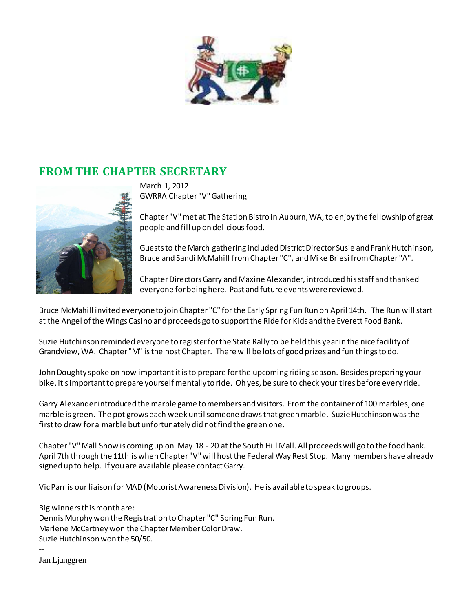

## **FROM THE CHAPTER SECRETARY**



March 1, 2012 GWRRA Chapter "V" Gathering

Chapter "V" met at The Station Bistro in Auburn, WA, to enjoy the fellowship of great people and fill up on delicious food.

Guests to the March gathering included District Director Susie and Frank Hutchinson, Bruce and Sandi McMahill from Chapter "C", and Mike Briesi from Chapter "A".

Chapter Directors Garry and Maxine Alexander, introduced his staff and thanked everyone for being here. Past and future events were reviewed.

Bruce McMahill invited everyone to join Chapter "C" for the Early Spring Fun Run on April 14th. The Run will start at the Angel of the Wings Casino and proceeds go to support the Ride for Kids and the Everett Food Bank.

Suzie Hutchinson reminded everyone to register for the State Rally to be held this year in the nice facility of Grandview, WA. Chapter "M" is the host Chapter. There will be lots of good prizes and fun things to do.

John Doughty spoke on how important it is to prepare for the upcoming riding season. Besides preparing your bike, it's important to prepare yourself mentally to ride. Oh yes, be sure to check your tires before every ride.

Garry Alexander introduced the marble game to members and visitors. From the container of 100 marbles, one marble is green. The pot grows each week until someone draws that green marble. Suzie Hutchinson was the first to draw for a marble but unfortunately did not find the green one.

Chapter "V" Mall Show is coming up on May 18 - 20 at the South Hill Mall. All proceeds will go to the food bank. April 7th through the 11th is when Chapter "V" will host the Federal Way Rest Stop. Many members have already signed up to help. If you are available please contact Garry.

Vic Parr is our liaison for MAD (Motorist Awareness Division). He is available to speak to groups.

Big winners this month are: Dennis Murphy won the Registration to Chapter "C" Spring Fun Run. Marlene McCartney won the Chapter Member Color Draw. Suzie Hutchinson won the 50/50. --

Jan Ljunggren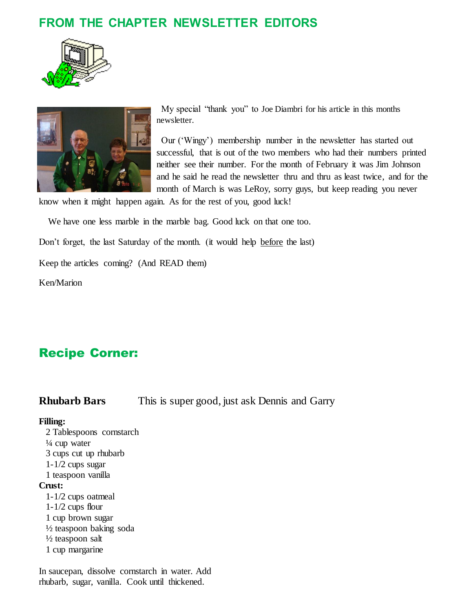# **FROM THE CHAPTER NEWSLETTER EDITORS**





 My special "thank you" to Joe Diambri for his article in this months newsletter.

 Our ('Wingy') membership number in the newsletter has started out successful, that is out of the two members who had their numbers printed neither see their number. For the month of February it was Jim Johnson and he said he read the newsletter thru and thru as least twice, and for the month of March is was LeRoy, sorry guys, but keep reading you never

know when it might happen again. As for the rest of you, good luck!

We have one less marble in the marble bag. Good luck on that one too.

Don't forget, the last Saturday of the month. (it would help before the last)

Keep the articles coming? (And READ them)

Ken/Marion

# Recipe Corner:

**Rhubarb Bars** This is super good, just ask Dennis and Garry

#### **Filling:**

 2 Tablespoons cornstarch  $\frac{1}{4}$  cup water 3 cups cut up rhubarb 1-1/2 cups sugar 1 teaspoon vanilla **Crust:** 1-1/2 cups oatmeal 1-1/2 cups flour 1 cup brown sugar  $\frac{1}{2}$  teaspoon baking soda  $\frac{1}{2}$  teaspoon salt 1 cup margarine

In saucepan, dissolve cornstarch in water. Add rhubarb, sugar, vanilla. Cook until thickened.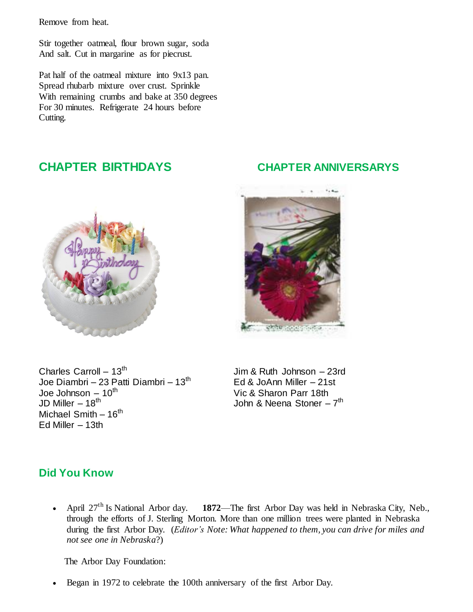Remove from heat.

Stir together oatmeal, flour brown sugar, soda And salt. Cut in margarine as for piecrust.

Pat half of the oatmeal mixture into 9x13 pan. Spread rhubarb mixture over crust. Sprinkle With remaining crumbs and bake at 350 degrees For 30 minutes. Refrigerate 24 hours before Cutting.



**CHAPTER BIRTHDAYS CHAPTER ANNIVERSARYS**



Charles Carroll  $-13^{th}$ Joe Diambri – 23 Patti Diambri –  $13<sup>th</sup>$  Ed & JoAnn Miller – 21st Joe Johnson – 10<sup>th</sup> Vic & Sharon Parr 18th Vic & Sharon Parr 18th JD Miller – 18<sup>th</sup> JD Miller – 18<sup>th</sup>  $\blacksquare$  John & Neena Stoner – 7<sup>th</sup> Michael Smith  $-16^{th}$ Ed Miller  $-13th$ 

Jim & Ruth Johnson – 23rd

#### **Did You Know**

 April 27th Is National Arbor day. **1872**—The first Arbor Day was held in Nebraska City, Neb., through the efforts of J. Sterling Morton. More than one million trees were planted in Nebraska during the first Arbor Day. (*Editor's Note: What happened to them, you can drive for miles and not see one in Nebraska*?)

The Arbor Day Foundation:

Began in 1972 to celebrate the 100th anniversary of the first Arbor Day.